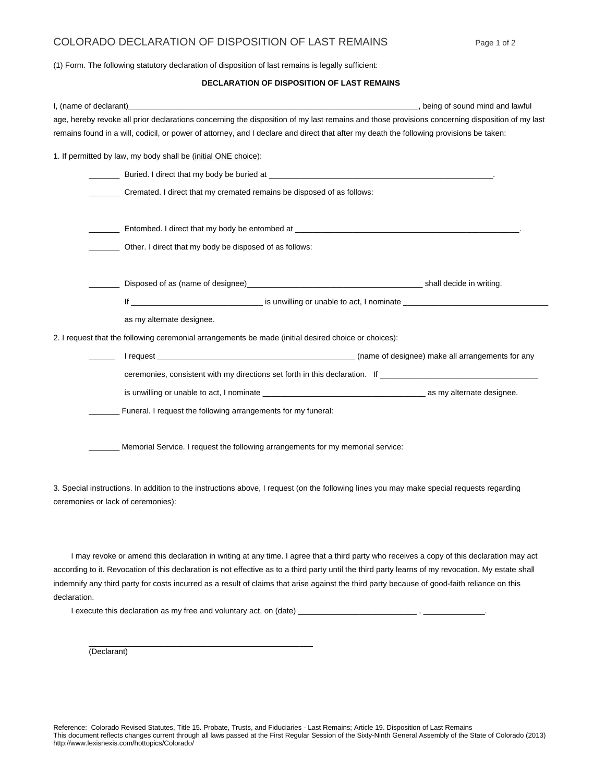## COLORADO DECLARATION OF DISPOSITION OF LAST REMAINS Page 1 of 2

(1) Form. The following statutory declaration of disposition of last remains is legally sufficient:

## **DECLARATION OF DISPOSITION OF LAST REMAINS**

| I, (name of declarant)                                                                                                                                                                                                                                                                    | being of sound mind and lawful |
|-------------------------------------------------------------------------------------------------------------------------------------------------------------------------------------------------------------------------------------------------------------------------------------------|--------------------------------|
| age, hereby revoke all prior declarations concerning the disposition of my last remains and those provisions concerning disposition of my last<br>remains found in a will, codicil, or power of attorney, and I declare and direct that after my death the following provisions be taken: |                                |
| 1. If permitted by law, my body shall be (initial ONE choice):                                                                                                                                                                                                                            |                                |
|                                                                                                                                                                                                                                                                                           |                                |
| Cremated. I direct that my cremated remains be disposed of as follows:                                                                                                                                                                                                                    |                                |
|                                                                                                                                                                                                                                                                                           |                                |
| Other. I direct that my body be disposed of as follows:                                                                                                                                                                                                                                   |                                |
|                                                                                                                                                                                                                                                                                           |                                |
|                                                                                                                                                                                                                                                                                           |                                |
| as my alternate designee.                                                                                                                                                                                                                                                                 |                                |
| 2. I request that the following ceremonial arrangements be made (initial desired choice or choices):                                                                                                                                                                                      |                                |
|                                                                                                                                                                                                                                                                                           |                                |
| ceremonies, consistent with my directions set forth in this declaration. If encourage and consistent with my directions set forth in this declaration. If encourage and consider the set of the set of the set of the set of t                                                            |                                |
|                                                                                                                                                                                                                                                                                           |                                |
| Funeral. I request the following arrangements for my funeral:                                                                                                                                                                                                                             |                                |
| Memorial Service. I request the following arrangements for my memorial service:                                                                                                                                                                                                           |                                |
| 3. Special instructions. In addition to the instructions above, I request (on the following lines you may make special requests regarding<br>ceremonies or lack of ceremonies):                                                                                                           |                                |

 I may revoke or amend this declaration in writing at any time. I agree that a third party who receives a copy of this declaration may act according to it. Revocation of this declaration is not effective as to a third party until the third party learns of my revocation. My estate shall indemnify any third party for costs incurred as a result of claims that arise against the third party because of good-faith reliance on this declaration.

I execute this declaration as my free and voluntary act, on (date)

\_\_\_\_\_\_\_\_\_\_\_\_\_\_\_\_\_\_\_\_\_\_\_\_\_\_\_\_\_\_\_\_\_\_\_\_\_\_\_\_\_\_\_\_\_\_\_\_\_\_\_

(Declarant)